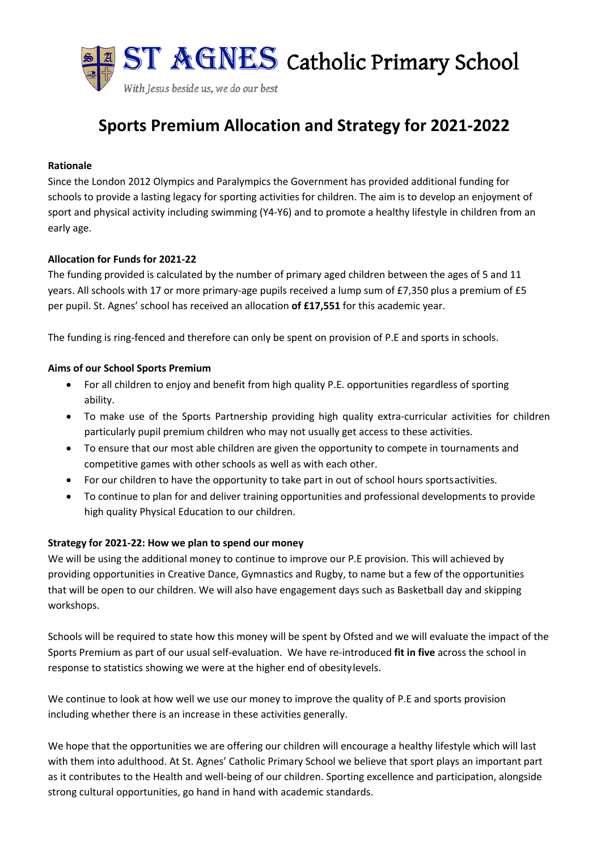

# **Sports Premium Allocation and Strategy for 2021-2022**

### **Rationale**

Since the London 2012 Olympics and Paralympics the Government has provided additional funding for schools to provide a lasting legacy for sporting activities for children. The aim is to develop an enjoyment of sport and physical activity including swimming (Y4-Y6) and to promote a healthy lifestyle in children from an early age.

## **Allocation for Funds for 2021-22**

The funding provided is calculated by the number of primary aged children between the ages of 5 and 11 years. All schools with 17 or more primary-age pupils received a lump sum of £7,350 plus a premium of £5 per pupil. St. Agnes' school has received an allocation **of £17,551** for this academic year.

The funding is ring-fenced and therefore can only be spent on provision of P.E and sports in schools.

## **Aims of our School Sports Premium**

- For all children to enjoy and benefit from high quality P.E. opportunities regardless of sporting ability.
- To make use of the Sports Partnership providing high quality extra-curricular activities for children particularly pupil premium children who may not usually get access to these activities.
- To ensure that our most able children are given the opportunity to compete in tournaments and competitive games with other schools as well as with each other.
- For our children to have the opportunity to take part in out of school hours sportsactivities.
- To continue to plan for and deliver training opportunities and professional developments to provide high quality Physical Education to our children.

## **Strategy for 2021-22: How we plan to spend our money**

We will be using the additional money to continue to improve our P.E provision. This will achieved by providing opportunities in Creative Dance, Gymnastics and Rugby, to name but a few of the opportunities that will be open to our children. We will also have engagement days such as Basketball day and skipping workshops.

Schools will be required to state how this money will be spent by Ofsted and we will evaluate the impact of the Sports Premium as part of our usual self-evaluation. We have re-introduced **fit in five** across the school in response to statistics showing we were at the higher end of obesitylevels.

We continue to look at how well we use our money to improve the quality of P.E and sports provision including whether there is an increase in these activities generally.

We hope that the opportunities we are offering our children will encourage a healthy lifestyle which will last with them into adulthood. At St. Agnes' Catholic Primary School we believe that sport plays an important part as it contributes to the Health and well-being of our children. Sporting excellence and participation, alongside strong cultural opportunities, go hand in hand with academic standards.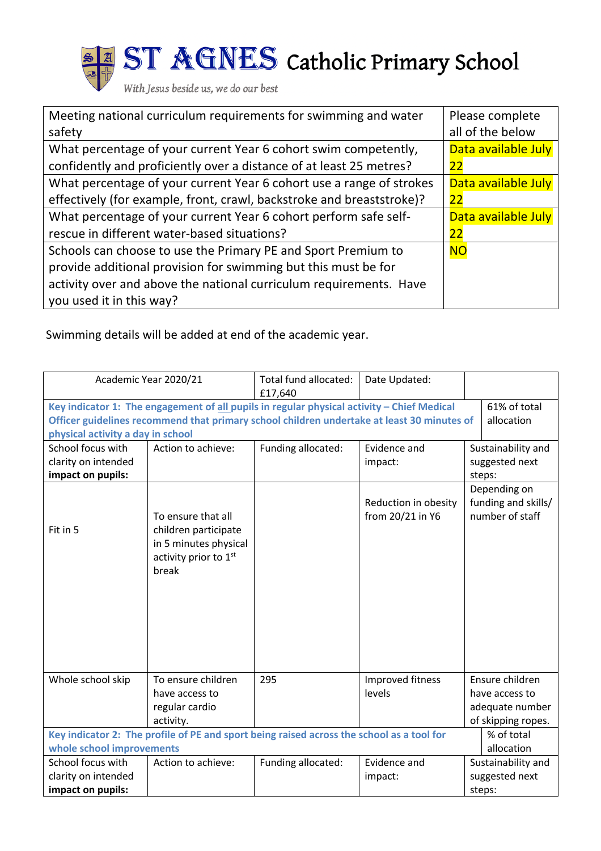

ST AGNES Catholic Primary School

With Jesus beside us, we do our best

| Meeting national curriculum requirements for swimming and water       | Please complete     |  |
|-----------------------------------------------------------------------|---------------------|--|
| safety                                                                | all of the below    |  |
| What percentage of your current Year 6 cohort swim competently,       | Data available July |  |
| confidently and proficiently over a distance of at least 25 metres?   | 22                  |  |
| What percentage of your current Year 6 cohort use a range of strokes  | Data available July |  |
| effectively (for example, front, crawl, backstroke and breaststroke)? | 22                  |  |
| What percentage of your current Year 6 cohort perform safe self-      | Data available July |  |
| rescue in different water-based situations?                           | 22                  |  |
| Schools can choose to use the Primary PE and Sport Premium to         | <b>NO</b>           |  |
| provide additional provision for swimming but this must be for        |                     |  |
| activity over and above the national curriculum requirements. Have    |                     |  |
| you used it in this way?                                              |                     |  |

Swimming details will be added at end of the academic year.

| Academic Year 2020/21                                                                      |                                                                                                         | Total fund allocated:<br>£17,640 | Date Updated:                            |                                                        |  |  |
|--------------------------------------------------------------------------------------------|---------------------------------------------------------------------------------------------------------|----------------------------------|------------------------------------------|--------------------------------------------------------|--|--|
| Key indicator 1: The engagement of all pupils in regular physical activity - Chief Medical | 61% of total                                                                                            |                                  |                                          |                                                        |  |  |
| Officer guidelines recommend that primary school children undertake at least 30 minutes of | allocation                                                                                              |                                  |                                          |                                                        |  |  |
| physical activity a day in school                                                          |                                                                                                         |                                  |                                          |                                                        |  |  |
| School focus with                                                                          | Action to achieve:<br>Funding allocated:<br>Sustainability and<br>Evidence and                          |                                  |                                          |                                                        |  |  |
| clarity on intended                                                                        |                                                                                                         |                                  | impact:                                  | suggested next                                         |  |  |
| impact on pupils:                                                                          |                                                                                                         |                                  |                                          | steps:                                                 |  |  |
| Fit in 5                                                                                   | To ensure that all<br>children participate<br>in 5 minutes physical<br>activity prior to 1st<br>break   |                                  | Reduction in obesity<br>from 20/21 in Y6 | Depending on<br>funding and skills/<br>number of staff |  |  |
| Whole school skip                                                                          | To ensure children<br>have access to<br>regular cardio                                                  | 295                              | Improved fitness<br>levels               | Ensure children<br>have access to<br>adequate number   |  |  |
|                                                                                            | activity.                                                                                               |                                  |                                          | of skipping ropes.                                     |  |  |
|                                                                                            | Key indicator 2: The profile of PE and sport being raised across the school as a tool for<br>% of total |                                  |                                          |                                                        |  |  |
|                                                                                            | whole school improvements<br>allocation                                                                 |                                  |                                          |                                                        |  |  |
| School focus with                                                                          | Action to achieve:                                                                                      | Funding allocated:               | Evidence and                             | Sustainability and                                     |  |  |
| clarity on intended                                                                        |                                                                                                         |                                  | impact:                                  | suggested next                                         |  |  |
| impact on pupils:                                                                          | steps:                                                                                                  |                                  |                                          |                                                        |  |  |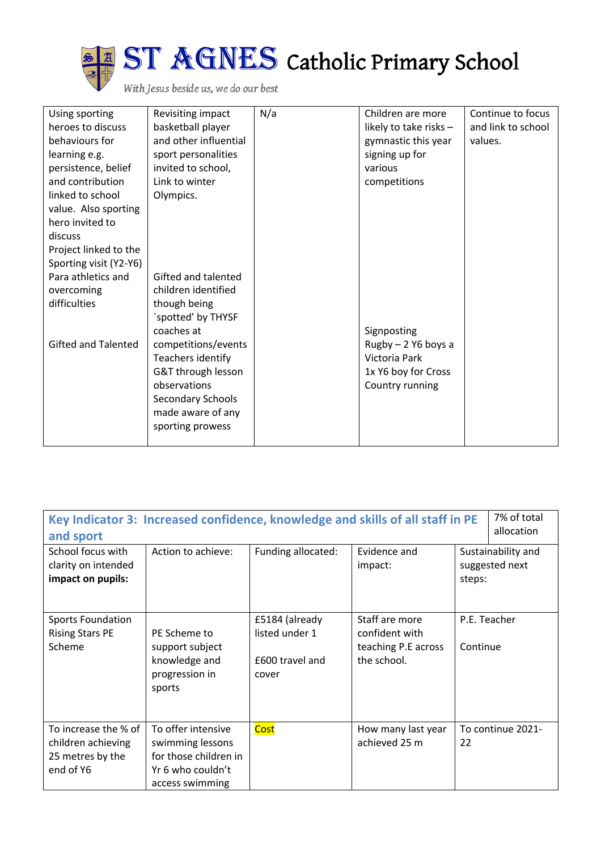

| Using sporting             | Revisiting impact     | N/a | Children are more      | Continue to focus  |
|----------------------------|-----------------------|-----|------------------------|--------------------|
| heroes to discuss          | basketball player     |     | likely to take risks - | and link to school |
| behaviours for             | and other influential |     | gymnastic this year    | values.            |
| learning e.g.              | sport personalities   |     | signing up for         |                    |
| persistence, belief        | invited to school,    |     | various                |                    |
| and contribution           | Link to winter        |     | competitions           |                    |
| linked to school           | Olympics.             |     |                        |                    |
| value. Also sporting       |                       |     |                        |                    |
| hero invited to            |                       |     |                        |                    |
| discuss                    |                       |     |                        |                    |
| Project linked to the      |                       |     |                        |                    |
| Sporting visit (Y2-Y6)     |                       |     |                        |                    |
| Para athletics and         | Gifted and talented   |     |                        |                    |
| overcoming                 | children identified   |     |                        |                    |
| difficulties               | though being          |     |                        |                    |
|                            | `spotted' by THYSF    |     |                        |                    |
|                            | coaches at            |     | Signposting            |                    |
| <b>Gifted and Talented</b> | competitions/events   |     | $Rugby - 2$ Y6 boys a  |                    |
|                            | Teachers identify     |     | Victoria Park          |                    |
|                            | G&T through lesson    |     | 1x Y6 boy for Cross    |                    |
|                            | observations          |     | Country running        |                    |
|                            | Secondary Schools     |     |                        |                    |
|                            | made aware of any     |     |                        |                    |
|                            | sporting prowess      |     |                        |                    |
|                            |                       |     |                        |                    |

| Key Indicator 3: Increased confidence, knowledge and skills of all staff in PE<br>and sport<br>School focus with<br>clarity on intended<br>impact on pupils: | 7% of total<br>allocation<br>Sustainability and<br>suggested next<br>steps:                             |                                                              |                                                                        |                          |  |
|--------------------------------------------------------------------------------------------------------------------------------------------------------------|---------------------------------------------------------------------------------------------------------|--------------------------------------------------------------|------------------------------------------------------------------------|--------------------------|--|
|                                                                                                                                                              |                                                                                                         |                                                              |                                                                        |                          |  |
| <b>Sports Foundation</b><br><b>Rising Stars PE</b><br>Scheme                                                                                                 | PE Scheme to<br>support subject<br>knowledge and<br>progression in<br>sports                            | £5184 (already<br>listed under 1<br>£600 travel and<br>cover | Staff are more<br>confident with<br>teaching P.E across<br>the school. | P.E. Teacher<br>Continue |  |
| To increase the % of<br>children achieving<br>25 metres by the<br>end of Y6                                                                                  | To offer intensive<br>swimming lessons<br>for those children in<br>Yr 6 who couldn't<br>access swimming | Cost                                                         | How many last year<br>achieved 25 m                                    | To continue 2021-<br>22  |  |